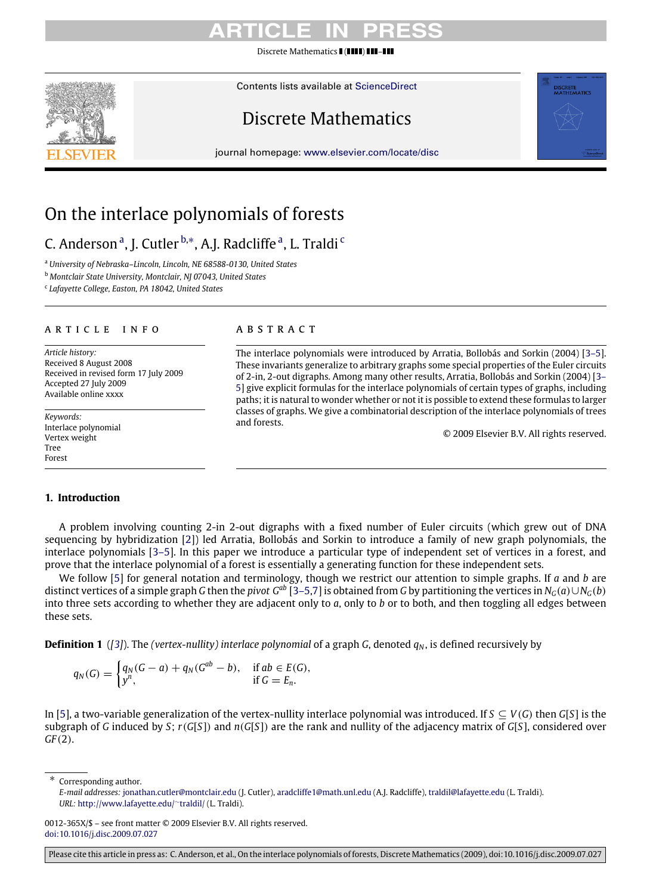Discrete Mathematics  $\blacksquare(\blacksquare\blacksquare\blacksquare)$ 

Contents lists available at [ScienceDirect](http://www.elsevier.com/locate/disc)



### Discrete Mathematics

journal homepage: [www.elsevier.com/locate/disc](http://www.elsevier.com/locate/disc)

### On the interlace polynomials of forests

### C. Anderson<sup>[a](#page-0-0)</sup>, J. Cutler <sup>[b,](#page-0-1)\*</sup>, A.J. Rad[c](#page-0-3)liffe<sup>a</sup>, L. Traldi<sup>c</sup>

<span id="page-0-0"></span><sup>a</sup> *University of Nebraska–Lincoln, Lincoln, NE 68588-0130, United States*

<span id="page-0-1"></span><sup>b</sup> *Montclair State University, Montclair, NJ 07043, United States*

<span id="page-0-3"></span>c *Lafayette College, Easton, PA 18042, United States*

#### ARTICLE INFO

*Article history:* Received 8 August 2008 Received in revised form 17 July 2009 Accepted 27 July 2009 Available online xxxx

*Keywords:* Interlace polynomial Vertex weight Tree Forest

#### a b s t r a c t

The interlace polynomials were introduced by Arratia, Bollobás and Sorkin (2004) [\[3–5\]](#page-5-0). These invariants generalize to arbitrary graphs some special properties of the Euler circuits of 2-in, 2-out digraphs. Among many other results, Arratia, Bollobás and Sorkin (2004) [\[3–](#page-5-0) [5\]](#page-5-0) give explicit formulas for the interlace polynomials of certain types of graphs, including paths; it is natural to wonder whether or not it is possible to extend these formulas to larger classes of graphs. We give a combinatorial description of the interlace polynomials of trees and forests.

© 2009 Elsevier B.V. All rights reserved.

**DISCRETE**<br>MATHEMATICS

#### **1. Introduction**

A problem involving counting 2-in 2-out digraphs with a fixed number of Euler circuits (which grew out of DNA sequencing by hybridization [\[2\]](#page-5-1)) led Arratia, Bollobás and Sorkin to introduce a family of new graph polynomials, the interlace polynomials [\[3–5\]](#page-5-0). In this paper we introduce a particular type of independent set of vertices in a forest, and prove that the interlace polynomial of a forest is essentially a generating function for these independent sets.

We follow [\[5\]](#page-5-2) for general notation and terminology, though we restrict our attention to simple graphs. If *a* and *b* are distinct vertices of a simple graph *G* then the *pivot G*<sup>*ab*</sup> [\[3–5](#page-5-0)[,7\]](#page-5-3) is obtained from *G* by partitioning the vertices in  $N_G(a) \cup N_G(b)$ into three sets according to whether they are adjacent only to *a*, only to *b* or to both, and then toggling all edges between these sets.

**Definition 1** ([\[3\]](#page-5-0)). The (vertex-nullity) interlace polynomial of a graph *G*, denoted  $q_N$ , is defined recursively by

<span id="page-0-4"></span>
$$
q_N(G) = \begin{cases} q_N(G-a) + q_N(G^{ab}-b), & \text{if } ab \in E(G), \\ y^n, & \text{if } G = E_n. \end{cases}
$$

In [\[5\]](#page-5-2), a two-variable generalization of the vertex-nullity interlace polynomial was introduced. If *S* ⊆ *V*(*G*) then *G*[*S*] is the subgraph of *G* induced by *S*; *r*(*G*[*S*]) and *n*(*G*[*S*]) are the rank and nullity of the adjacency matrix of *G*[*S*], considered over *GF* (2).

<span id="page-0-2"></span>Corresponding author.

Please cite this article in press as: C. Anderson, et al., On the interlace polynomials of forests, Discrete Mathematics (2009), doi:10.1016/j.disc.2009.07.027

*E-mail addresses:* [jonathan.cutler@montclair.edu](mailto:jonathan.cutler@montclair.edu) (J. Cutler), [aradcliffe1@math.unl.edu](mailto:aradcliffe1@math.unl.edu) (A.J. Radcliffe), [traldil@lafayette.edu](mailto:traldil@lafayette.edu) (L. Traldi). *URL:* [http://www.lafayette.edu/](http://www.lafayette.edu/~traldil/)∼[traldil/](http://www.lafayette.edu/~traldil/) (L. Traldi).

<sup>0012-365</sup>X/\$ – see front matter © 2009 Elsevier B.V. All rights reserved. [doi:10.1016/j.disc.2009.07.027](http://dx.doi.org/10.1016/j.disc.2009.07.027)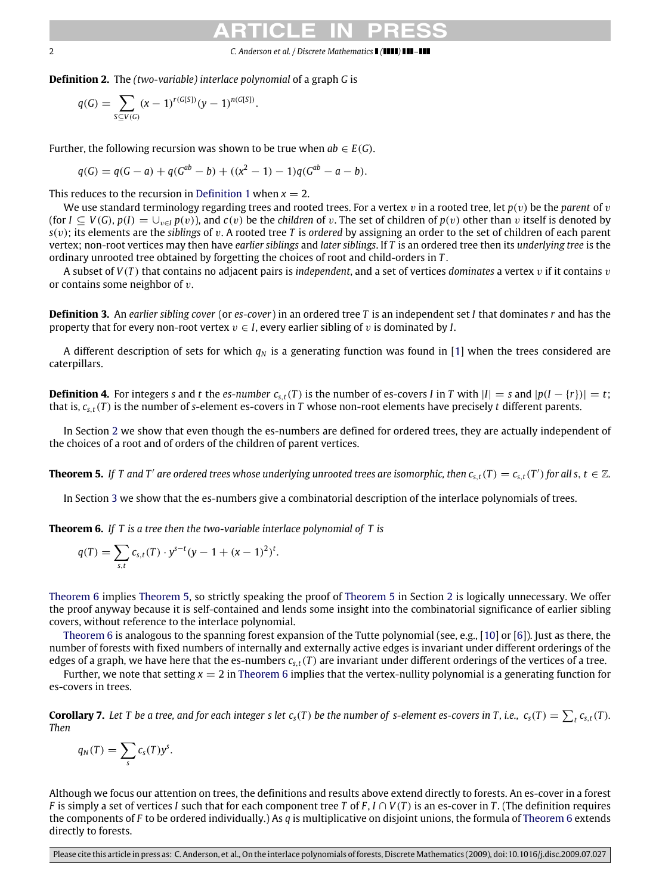2 *C. Anderson et al. / Discrete Mathematics ( ) –*

**Definition 2.** The *(two-variable) interlace polynomial* of a graph *G* is

$$
q(G) = \sum_{S \subseteq V(G)} (x-1)^{r(G[S])} (y-1)^{n(G[S])}.
$$

Further, the following recursion was shown to be true when  $ab \in E(G)$ .

$$
q(G) = q(G-a) + q(G^{ab} - b) + ((x^2 - 1) - 1)q(G^{ab} - a - b).
$$

This reduces to the recursion in [Definition 1](#page-0-4) when  $x = 2$ .

We use standard terminology regarding trees and rooted trees. For a vertex  $v$  in a rooted tree, let  $p(v)$  be the *parent* of  $v$ (for  $I \subseteq V(G)$ ,  $p(I) = \bigcup_{v \in I} p(v)$ ), and  $c(v)$  be the *children* of v. The set of children of  $p(v)$  other than v itself is denoted by *s*(v); its elements are the *siblings* of v. A rooted tree *T* is *ordered* by assigning an order to the set of children of each parent vertex; non-root vertices may then have *earlier siblings* and *later siblings*. If *T* is an ordered tree then its *underlying tree* is the ordinary unrooted tree obtained by forgetting the choices of root and child-orders in *T* .

A subset of *V*(*T* ) that contains no adjacent pairs is *independent*, and a set of vertices *dominates* a vertex v if it contains v or contains some neighbor of  $v$ .

**Definition 3.** An *earlier sibling cover* (or *es-cover*) in an ordered tree *T* is an independent set *I* that dominates *r* and has the property that for every non-root vertex  $v \in I$ , every earlier sibling of v is dominated by *I*.

A different description of sets for which  $q_N$  is a generating function was found in [\[1\]](#page-5-4) when the trees considered are caterpillars.

<span id="page-1-2"></span>**Definition 4.** For integers s and t the es-number  $c_{s,t}(T)$  is the number of es-covers I in T with  $|I| = s$  and  $|p(I - \{r\})| = t$ ; that is,  $c_{s,t}(T)$  is the number of *s*-element es-covers in *T* whose non-root elements have precisely *t* different parents.

In Section [2](#page-2-0) we show that even though the es-numbers are defined for ordered trees, they are actually independent of the choices of a root and of orders of the children of parent vertices.

**Theorem 5.** If T and T' are ordered trees whose underlying unrooted trees are isomorphic, then  $c_{s,t}(T) = c_{s,t}(T')$  for all s,  $t \in \mathbb{Z}$ .

<span id="page-1-1"></span>In Section [3](#page-3-0) we show that the es-numbers give a combinatorial description of the interlace polynomials of trees.

**Theorem 6.** *If T is a tree then the two-variable interlace polynomial of T is*

<span id="page-1-0"></span>
$$
q(T) = \sum_{s,t} c_{s,t}(T) \cdot y^{s-t}(y-1+(x-1)^2)^t.
$$

[Theorem 6](#page-1-0) implies [Theorem 5,](#page-1-1) so strictly speaking the proof of [Theorem 5](#page-1-1) in Section [2](#page-2-0) is logically unnecessary. We offer the proof anyway because it is self-contained and lends some insight into the combinatorial significance of earlier sibling covers, without reference to the interlace polynomial.

[Theorem 6](#page-1-0) is analogous to the spanning forest expansion of the Tutte polynomial (see, e.g., [\[10\]](#page-5-5) or [\[6\]](#page-5-6)). Just as there, the number of forests with fixed numbers of internally and externally active edges is invariant under different orderings of the edges of a graph, we have here that the es-numbers  $c_{s,t}(T)$  are invariant under different orderings of the vertices of a tree.

Further, we note that setting  $x = 2$  in [Theorem 6](#page-1-0) implies that the vertex-nullity polynomial is a generating function for es-covers in trees.

**Corollary 7.** Let T be a tree, and for each integer s let  $c_s(T)$  be the number of s-element es-covers in T, i.e.,  $c_s(T) = \sum_t c_{s,t}(T)$ . *Then*

<span id="page-1-3"></span>
$$
q_N(T)=\sum_s c_s(T)y^s.
$$

Although we focus our attention on trees, the definitions and results above extend directly to forests. An es-cover in a forest *F* is simply a set of vertices *I* such that for each component tree *T* of *F* , *I* ∩ *V*(*T* ) is an es-cover in *T* . (The definition requires the components of *F* to be ordered individually.) As *q* is multiplicative on disjoint unions, the formula of [Theorem 6](#page-1-0) extends directly to forests.

Please cite this article in press as: C. Anderson, et al., On the interlace polynomials of forests, Discrete Mathematics (2009), doi:10.1016/j.disc.2009.07.027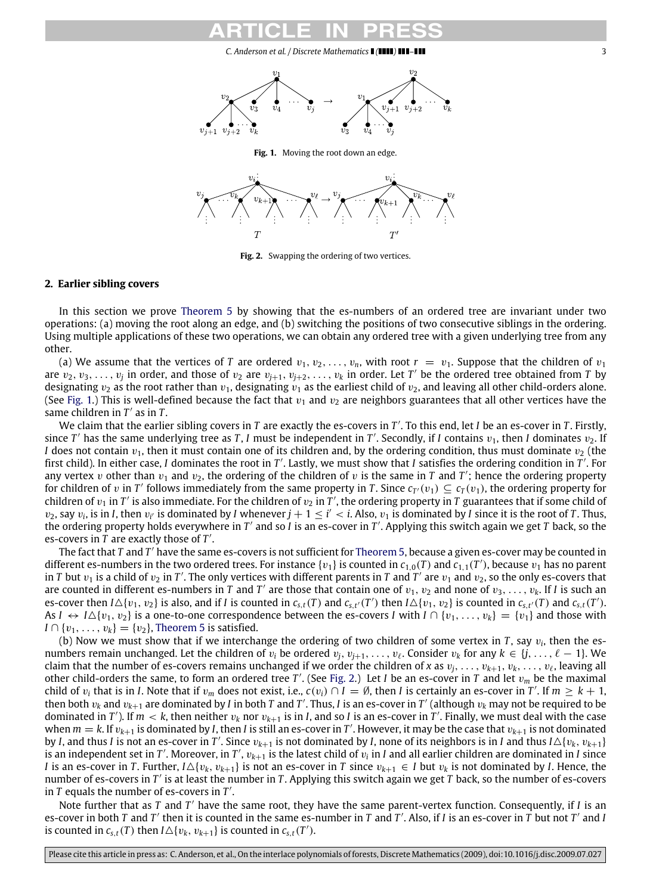<span id="page-2-1"></span>

**Fig. 1.** Moving the root down an edge.



**Fig. 2.** Swapping the ordering of two vertices.

#### <span id="page-2-2"></span><span id="page-2-0"></span>**2. Earlier sibling covers**

In this section we prove [Theorem 5](#page-1-1) by showing that the es-numbers of an ordered tree are invariant under two operations: (a) moving the root along an edge, and (b) switching the positions of two consecutive siblings in the ordering. Using multiple applications of these two operations, we can obtain any ordered tree with a given underlying tree from any other.

(a) We assume that the vertices of *T* are ordered  $v_1, v_2, \ldots, v_n$ , with root  $r = v_1$ . Suppose that the children of  $v_1$ are  $v_2, v_3, \ldots, v_j$  in order, and those of  $v_2$  are  $v_{j+1}, v_{j+2}, \ldots, v_k$  in order. Let *T'* be the ordered tree obtained from *T* by designating  $v_2$  as the root rather than  $v_1$ , designating  $v_1$  as the earliest child of  $v_2$ , and leaving all other child-orders alone. (See [Fig. 1.](#page-2-1)) This is well-defined because the fact that  $v_1$  and  $v_2$  are neighbors guarantees that all other vertices have the same children in  $T'$  as in  $T$ .

We claim that the earlier sibling covers in *T* are exactly the es-covers in *T'*. To this end, let *I* be an es-cover in *T*. Firstly, since  $T'$  has the same underlying tree as T, I must be independent in  $T'$ . Secondly, if I contains  $v_1$ , then I dominates  $v_2$ . If *I* does not contain  $v_1$ , then it must contain one of its children and, by the ordering condition, thus must dominate  $v_2$  (the first child). In either case, *I* dominates the root in *T'*. Lastly, we must show that *I* satisfies the ordering condition in *T'*. For any vertex v other than  $v_1$  and  $v_2$ , the ordering of the children of v is the same in *T* and *T'*; hence the ordering property for children of v in *T'* follows immediately from the same property in *T*. Since  $c_T(v_1) \subseteq c_T(v_1)$ , the ordering property for children of  $v_1$  in  $T'$  is also immediate. For the children of  $v_2$  in  $T'$ , the ordering property in  $T$  guarantees that if some child of  $v_2$ , say  $v_i$ , is in *I*, then  $v_i$  is dominated by *I* whenever  $j + 1 \leq i' < i$ . Also,  $v_1$  is dominated by *I* since it is the root of *T*. Thus, the ordering property holds everywhere in *T'* and so *I* is an es-cover in *T'*. Applying this switch again we get *T* back, so the es-covers in  $\overline{T}$  are exactly those of  $T'$ .

The fact that T and T' have the same es-covers is not sufficient for [Theorem 5,](#page-1-1) because a given es-cover may be counted in different es-numbers in the two ordered trees. For instance { $v_1$ } is counted in  $c_{1,0}(T)$  and  $c_{1,1}(T')$ , because  $v_1$  has no parent in *T* but  $v_1$  is a child of  $v_2$  in *T'*. The only vertices with different parents in *T* and *T'* are  $v_1$  and  $v_2$ , so the only es-covers that are counted in different es-numbers in *T* and *T'* are those that contain one of  $v_1$ ,  $v_2$  and none of  $v_3$ , . . . ,  $v_k$ . If *I* is such an es-cover then  $I\Delta\{v_1, v_2\}$  is also, and if I is counted in  $c_{s,t}(T)$  and  $c_{s,t'}(T')$  then  $I\Delta\{v_1, v_2\}$  is counted in  $c_{s,t'}(T)$  and  $c_{s,t}(T')$ . As  $I \leftrightarrow I \Delta \{v_1, v_2\}$  is a one-to-one correspondence between the es-covers *I* with  $I \cap \{v_1, \ldots, v_k\} = \{v_1\}$  and those with *I* ∩ { $v_1, \ldots, v_k$ } = { $v_2$ }, [Theorem 5](#page-1-1) is satisfied.

(b) Now we must show that if we interchange the ordering of two children of some vertex in *T*, say  $v_i$ , then the esnumbers remain unchanged. Let the children of  $v_i$  be ordered  $v_i$ ,  $v_{i+1}, \ldots, v_\ell$ . Consider  $v_k$  for any  $k \in \{j, \ldots, \ell-1\}$ . We claim that the number of es-covers remains unchanged if we order the children of *x* as  $v_i, \ldots, v_{k+1}, v_k, \ldots, v_\ell$ , leaving all other child-orders the same, to form an ordered tree  $T'$ . (See [Fig. 2.](#page-2-2)) Let *I* be an es-cover in  $T$  and let  $v_m$  be the maximal child of  $v_i$  that is in *I*. Note that if  $v_m$  does not exist, i.e.,  $c(v_i) \cap I = \emptyset$ , then *I* is certainly an es-cover in *T'*. If  $m \geq k + 1$ , then both  $v_k$  and  $v_{k+1}$  are dominated by *I* in both *T* and *T'*. Thus, *I* is an es-cover in *T'* (although  $v_k$  may not be required to be dominated in *T'*). If  $m < k$ , then neither  $v_k$  nor  $v_{k+1}$  is in *I*, and so *I* is an es-cover in *T'*. Finally, we must deal with the case when  $m = k$ . If  $v_{k+1}$  is dominated by *I*, then *I* is still an es-cover in *T'*. However, it may be the case that  $v_{k+1}$  is not dominated by *I*, and thus *I* is not an es-cover in T'. Since  $v_{k+1}$  is not dominated by *I*, none of its neighbors is in *I* and thus *I* $\Delta\{v_k, v_{k+1}\}$ is an independent set in *T'*. Moreover, in *T'*,  $v_{k+1}$  is the latest child of  $v_i$  in *I* and all earlier children are dominated in *I* since *I* is an es-cover in *T*. Further,  $I \Delta \{v_k, v_{k+1}\}$  is not an es-cover in *T* since  $v_{k+1} \in I$  but  $v_k$  is not dominated by *I*. Hence, the number of es-covers in *T'* is at least the number in *T*. Applying this switch again we get *T* back, so the number of es-covers in  $T$  equals the number of es-covers in  $T'$ .

Note further that as *T* and *T'* have the same root, they have the same parent-vertex function. Consequently, if *I* is an es-cover in both *T* and *T'* then it is counted in the same es-number in *T* and *T'*. Also, if *I* is an es-cover in *T* but not *T'* and *I* is counted in  $c_{s,t}(T)$  then  $I \Delta \{v_k, v_{k+1}\}\$ is counted in  $c_{s,t}(T')$ .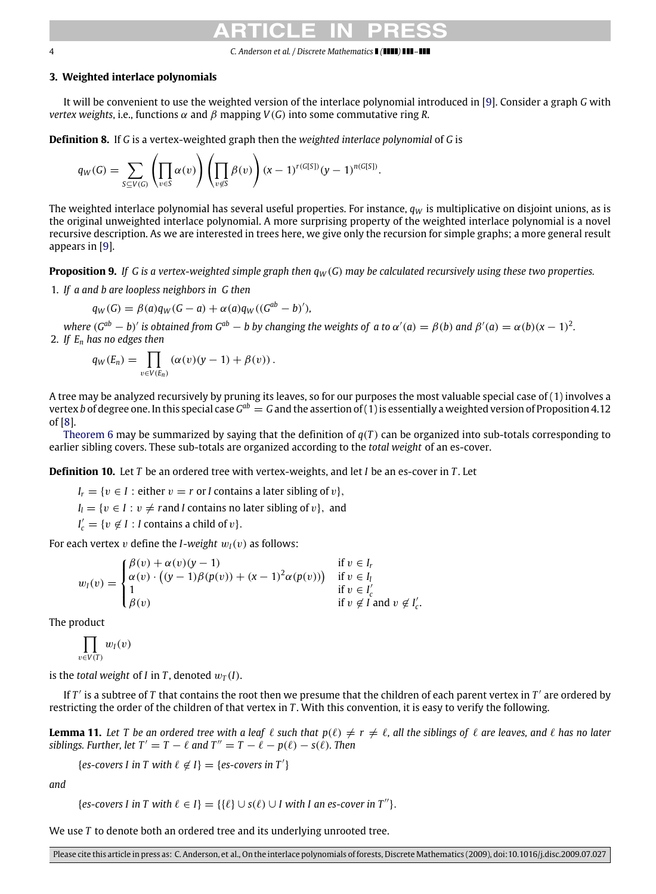### <span id="page-3-0"></span>**3. Weighted interlace polynomials**

It will be convenient to use the weighted version of the interlace polynomial introduced in [\[9\]](#page-5-7). Consider a graph *G* with *vertex weights, i.e., functions*  $\alpha$  *and*  $\beta$  *mapping*  $V(G)$  *into some commutative ring R.* 

**Definition 8.** If *G* is a vertex-weighted graph then the *weighted interlace polynomial* of *G* is

<span id="page-3-1"></span>
$$
q_W(G) = \sum_{S \subseteq V(G)} \left( \prod_{v \in S} \alpha(v) \right) \left( \prod_{v \notin S} \beta(v) \right) (x - 1)^{r(G[S])} (y - 1)^{n(G[S])}.
$$

The weighted interlace polynomial has several useful properties. For instance,  $q_W$  is multiplicative on disjoint unions, as is the original unweighted interlace polynomial. A more surprising property of the weighted interlace polynomial is a novel recursive description. As we are interested in trees here, we give only the recursion for simple graphs; a more general result appears in [\[9\]](#page-5-7).

**Proposition 9.** *If G is a vertex-weighted simple graph then q<sup>W</sup>* (*G*) *may be calculated recursively using these two properties.*

1. *If a and b are loopless neighbors in G then*

<span id="page-3-3"></span>
$$
q_W(G) = \beta(a)q_W(G-a) + \alpha(a)q_W((G^{ab}-b)'),
$$

*where*  $(G^{ab} - b)'$  *is obtained from*  $G^{ab} - b$  *by changing the weights of a to*  $\alpha'(a) = \beta(b)$  *and*  $\beta'(a) = \alpha(b)(x - 1)^2$ *.* 2. *If E<sup>n</sup> has no edges then*

$$
q_W(E_n)=\prod_{v\in V(E_n)}(\alpha(v)(y-1)+\beta(v)).
$$

A tree may be analyzed recursively by pruning its leaves, so for our purposes the most valuable special case of (1) involves a vertex *b* of degree one. In this special case  $G^{ab}=G$  and the assertion of (1) is essentially a weighted version of Proposition 4.12 of [\[8\]](#page-5-8).

[Theorem 6](#page-1-0) may be summarized by saying that the definition of *q*(*T* ) can be organized into sub-totals corresponding to earlier sibling covers. These sub-totals are organized according to the *total weight* of an es-cover.

**Definition 10.** Let *T* be an ordered tree with vertex-weights, and let *I* be an es-cover in *T* . Let

 $I_r = \{v \in I : \text{either } v = r \text{ or } I \text{ contains a later sibling of } v\},\$  $I_l = \{v \in I : v \neq r \text{ and } I \text{ contains no later sibling of } v\},\$ and  $I'_c = \{v \not\in I : I \text{ contains a child of } v\}.$ 

For each vertex v define the *I*-weight  $w_I(v)$  as follows:

$$
w_I(v) = \begin{cases} \beta(v) + \alpha(v)(y-1) & \text{if } v \in I_r \\ \alpha(v) \cdot ((y-1)\beta(p(v)) + (x-1)^2\alpha(p(v))) & \text{if } v \in I_l \\ 1 & \text{if } v \in I'_c \\ \beta(v) & \text{if } v \notin I \text{ and } v \notin I'_c. \end{cases}
$$

The product

$$
\prod_{v\in V(T)}w_I(v)
$$

is the *total weight* of *I* in *T*, denoted  $w_T(I)$ .

If  $T'$  is a subtree of  $T$  that contains the root then we presume that the children of each parent vertex in  $T'$  are ordered by restricting the order of the children of that vertex in *T* . With this convention, it is easy to verify the following.

**Lemma 11.** Let T be an ordered tree with a leaf  $\ell$  such that  $p(\ell) \neq r \neq \ell$ , all the siblings of  $\ell$  are leaves, and  $\ell$  has no later *siblings. Further, let*  $T' = T - \ell$  *and*  $T'' = T - \ell - p(\ell) - s(\ell)$ *. Then* 

<span id="page-3-2"></span> ${es- covers I in T with  $\ell \notin I} = {es- covers in T'}$$ 

*and*

 ${es\text{-}cores\ I\ in\ T\ with\ \ell \in I} = {\{\ell\} \cup s(\ell) \cup I\ with\ I\ an\ es\text{-}cover\ in\ T''\}.$ 

We use *T* to denote both an ordered tree and its underlying unrooted tree.

Please cite this article in press as: C. Anderson, et al., On the interlace polynomials of forests, Discrete Mathematics (2009), doi:10.1016/j.disc.2009.07.027

4 *C. Anderson et al. / Discrete Mathematics ( ) –*

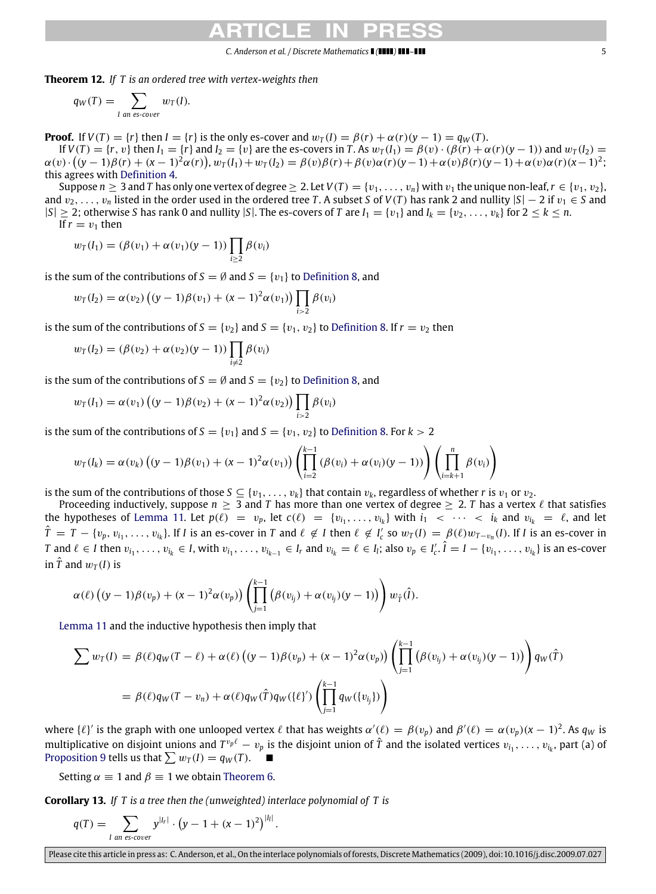*C. Anderson et al. / Discrete Mathematics ( ) –* 5

**Theorem 12.** *If T is an ordered tree with vertex-weights then*

$$
q_W(T) = \sum_{I \text{ an es-cover}} w_T(I).
$$

**Proof.** If  $V(T) = \{r\}$  then  $I = \{r\}$  is the only es-cover and  $w_T(I) = \beta(r) + \alpha(r)(y - 1) = q_W(T)$ .

If  $V(T) = \{r, v\}$  then  $I_1 = \{r\}$  and  $I_2 = \{v\}$  are the es-covers in *T*. As  $w_T(I_1) = \beta(v) \cdot (\beta(r) + \alpha(r)(y - 1))$  and  $w_T(I_2) =$  $\alpha(v) \cdot ((y-1)\beta(r) + (x-1)^2 \alpha(r))$ ,  $w_T(I_1) + w_T(I_2) = \beta(v)\beta(r) + \beta(v)\alpha(r)(y-1) + \alpha(v)\beta(r)(y-1) + \alpha(v)\alpha(r)(x-1)^2$ ; this agrees with [Definition 4.](#page-1-2)

Suppose  $n > 3$  and *T* has only one vertex of degree  $> 2$ . Let  $V(T) = \{v_1, \ldots, v_n\}$  with  $v_1$  the unique non-leaf,  $r \in \{v_1, v_2\}$ , and  $v_2, \ldots, v_n$  listed in the order used in the ordered tree *T*. A subset *S* of *V*(*T*) has rank 2 and nullity  $|S| - 2$  if  $v_1 \in S$  and  $|S| \geq 2$ ; otherwise *S* has rank 0 and nullity  $|S|$ . The es-covers of *T* are  $I_1 = \{v_1\}$  and  $I_k = \{v_2, \ldots, v_k\}$  for  $2 \leq k \leq n$ . If  $r = v_1$  then

$$
w_T(I_1) = (\beta(v_1) + \alpha(v_1)(y-1)) \prod_{i \ge 2} \beta(v_i)
$$

is the sum of the contributions of  $S = \emptyset$  and  $S = \{v_1\}$  to [Definition 8,](#page-3-1) and

$$
w_T(l_2) = \alpha(v_2) ((y - 1)\beta(v_1) + (x - 1)^2 \alpha(v_1)) \prod_{i > 2} \beta(v_i)
$$

is the sum of the contributions of  $S = \{v_2\}$  and  $S = \{v_1, v_2\}$  to [Definition 8.](#page-3-1) If  $r = v_2$  then

$$
w_T(l_2) = (\beta(v_2) + \alpha(v_2)(y-1)) \prod_{i \neq 2} \beta(v_i)
$$

is the sum of the contributions of  $S = \emptyset$  and  $S = \{v_2\}$  to [Definition 8,](#page-3-1) and

$$
w_T(I_1) = \alpha(v_1) \left( (y-1)\beta(v_2) + (x-1)^2 \alpha(v_2) \right) \prod_{i>2} \beta(v_i)
$$

is the sum of the contributions of  $S = \{v_1\}$  and  $S = \{v_1, v_2\}$  to [Definition 8.](#page-3-1) For  $k > 2$ 

$$
w_T(I_k) = \alpha(v_k) \left( (y-1)\beta(v_1) + (x-1)^2 \alpha(v_1) \right) \left( \prod_{i=2}^{k-1} \left( \beta(v_i) + \alpha(v_i)(y-1) \right) \left( \prod_{i=k+1}^n \beta(v_i) \right) \right)
$$

is the sum of the contributions of those  $S \subseteq \{v_1, \ldots, v_k\}$  that contain  $v_k$ , regardless of whether *r* is  $v_1$  or  $v_2$ .

Proceeding inductively, suppose  $n \geq 3$  and T has more than one vertex of degree  $\geq 2$ . T has a vertex  $\ell$  that satisfies the hypotheses of [Lemma 11.](#page-3-2) Let  $p(\ell) = v_p$ , let  $c(\ell) = \{v_{i_1}, \ldots, v_{i_k}\}$  with  $i_1 < \cdots < i_k$  and  $v_{i_k} = \ell$ , and let  $\hat{T} = T - \{v_p, v_{i_1}, \ldots, v_{i_k}\}\.$  If *I* is an es-cover in *T* and  $\ell \notin I$  then  $\ell \notin I'_c$  so  $w_T(I) = \beta(\ell)w_{T-v_n}(I)$ . If *I* is an es-cover in T and  $\ell \in I$  then  $v_{i_1}, \ldots, v_{i_k} \in I$ , with  $v_{i_1}, \ldots, v_{i_{k-1}} \in I_r$  and  $v_{i_k} = \ell \in I_l$ ; also  $v_p \in I'_c$ .  $\hat{I} = I - \{v_{i_1}, \ldots, v_{i_k}\}$  is an es-cover in  $\hat{T}$  and  $w_T(I)$  is

$$
\alpha(\ell)\left((y-1)\beta(v_p)+(x-1)^2\alpha(v_p)\right)\left(\prod_{j=1}^{k-1}\left(\beta(v_{i_j})+\alpha(v_{i_j})(y-1)\right)\right)w_{\hat{T}}(\hat{I}).
$$

[Lemma 11](#page-3-2) and the inductive hypothesis then imply that

$$
\sum w_T(I) = \beta(\ell)q_W(T-\ell) + \alpha(\ell) \left( (y-1)\beta(v_p) + (x-1)^2 \alpha(v_p) \right) \left( \prod_{j=1}^{k-1} (\beta(v_{ij}) + \alpha(v_{ij})(y-1)) \right) q_W(\hat{T})
$$
  
=  $\beta(\ell)q_W(T-v_n) + \alpha(\ell)q_W(\hat{T})q_W(\{\ell\}') \left( \prod_{j=1}^{k-1} q_W(\{v_{ij}\}) \right)$ 

where  $\{\ell\}'$  is the graph with one unlooped vertex  $\ell$  that has weights  $\alpha'(\ell) = \beta(v_p)$  and  $\beta'(\ell) = \alpha(v_p)(x-1)^2$ . As  $q_w$  is multiplicative on disjoint <u>un</u>ions and  $T^{v_p\ell}-v_p$  is the disjoint union of  $\hat T$  and the isolated vertices  $v_{i_1},\ldots,v_{i_k}$ , part (a) of [Proposition 9](#page-3-3) tells us that  $\sum w_T(I) = q_W(T)$ .

Setting  $\alpha \equiv 1$  and  $\beta \equiv 1$  we obtain [Theorem 6.](#page-1-0)

**Corollary 13.** *If T is a tree then the (unweighted) interlace polynomial of T is*

$$
q(T) = \sum_{I \text{ an es-cover}} y^{|I_r|} \cdot (y - 1 + (x - 1)^2)^{|I_l|}.
$$

Please cite this article in press as: C. Anderson, et al., On the interlace polynomials of forests, Discrete Mathematics (2009), doi:10.1016/j.disc.2009.07.027